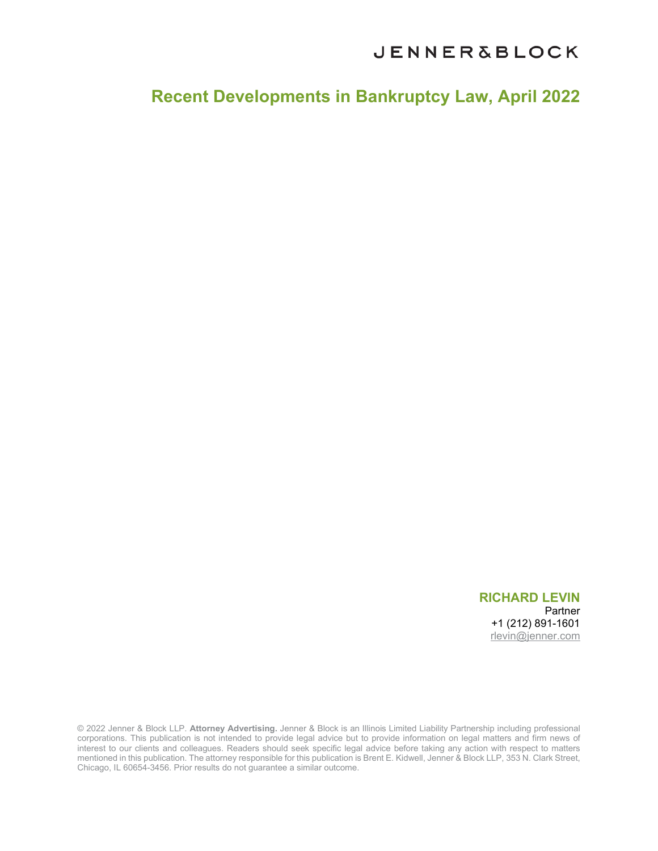**Recent Developments in Bankruptcy Law, April 2022**

**RICHARD LEVIN**  Partner +1 (212) 891-1601 [rlevin@jenner.com](mailto:rlevin@jenner.com) 

© 2022 Jenner & Block LLP. **Attorney Advertising.** Jenner & Block is an Illinois Limited Liability Partnership including professional corporations. This publication is not intended to provide legal advice but to provide information on legal matters and firm news of interest to our clients and colleagues. Readers should seek specific legal advice before taking any action with respect to matters mentioned in this publication. The attorney responsible for this publication is Brent E. Kidwell, Jenner & Block LLP, 353 N. Clark Street, Chicago, IL 60654-3456. Prior results do not guarantee a similar outcome.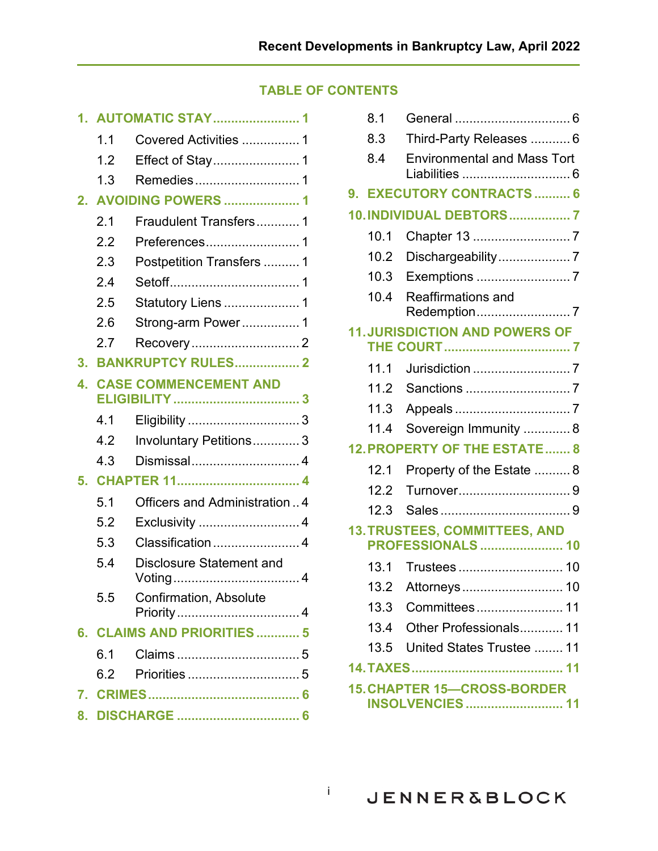# **TABLE OF CONTENTS**

| 1. | <b>AUTOMATIC STAY 1</b>    |                                |  |  |
|----|----------------------------|--------------------------------|--|--|
|    | 1.1                        | Covered Activities  1          |  |  |
|    | 1.2                        |                                |  |  |
|    | 1.3                        | Remedies1                      |  |  |
| 2. | <b>AVOIDING POWERS  1</b>  |                                |  |  |
|    | 2.1                        | Fraudulent Transfers 1         |  |  |
|    | 2.2                        | Preferences1                   |  |  |
|    | 2.3                        | Postpetition Transfers  1      |  |  |
|    | 2.4                        |                                |  |  |
|    | 2.5                        | <b>Statutory Liens  1</b>      |  |  |
|    | 2.6                        | Strong-arm Power 1             |  |  |
|    | 2.7                        | Recovery2                      |  |  |
| 3. |                            | <b>BANKRUPTCY RULES 2</b>      |  |  |
| 4. |                            | <b>CASE COMMENCEMENT AND</b>   |  |  |
|    | 4.1                        |                                |  |  |
|    | 4.2                        | Involuntary Petitions 3        |  |  |
|    | 4.3                        | Dismissal 4                    |  |  |
| 5. |                            |                                |  |  |
|    | 5.1                        | Officers and Administration  4 |  |  |
|    | 5.2                        | Exclusivity 4                  |  |  |
|    | 5.3                        | Classification 4               |  |  |
|    | 5.4                        | Disclosure Statement and       |  |  |
|    | 5.5                        | Confirmation, Absolute         |  |  |
|    | 6. CLAIMS AND PRIORITIES 5 |                                |  |  |
|    | 6.1                        |                                |  |  |
|    | 6.2                        |                                |  |  |
|    |                            |                                |  |  |
|    |                            |                                |  |  |

| 8.1                                   |                                     |                                                               |  |  |
|---------------------------------------|-------------------------------------|---------------------------------------------------------------|--|--|
| 8.3                                   |                                     | Third-Party Releases  6                                       |  |  |
| 8.4                                   |                                     | <b>Environmental and Mass Tort</b>                            |  |  |
| 9.                                    |                                     | <b>EXECUTORY CONTRACTS  6</b>                                 |  |  |
|                                       |                                     | 10. INDIVIDUAL DEBTORS 7                                      |  |  |
| 10.1                                  |                                     | Chapter 13 7                                                  |  |  |
| 10.2                                  |                                     | Dischargeability7                                             |  |  |
| 10.3                                  |                                     |                                                               |  |  |
| 10.4                                  |                                     | <b>Reaffirmations and</b><br>Redemption7                      |  |  |
| <b>11. JURISDICTION AND POWERS OF</b> |                                     |                                                               |  |  |
| 11.1                                  |                                     |                                                               |  |  |
| 11.2                                  |                                     |                                                               |  |  |
| 11.3                                  |                                     |                                                               |  |  |
| 11.4                                  |                                     | Sovereign Immunity  8                                         |  |  |
|                                       | <b>12. PROPERTY OF THE ESTATE 8</b> |                                                               |  |  |
| 12.1                                  |                                     | Property of the Estate 8                                      |  |  |
| 12.2                                  |                                     | Turnover9                                                     |  |  |
| 12.3                                  |                                     |                                                               |  |  |
|                                       |                                     | 13. TRUSTEES, COMMITTEES, AND<br><b>PROFESSIONALS  10</b>     |  |  |
| 13.1                                  |                                     |                                                               |  |  |
|                                       |                                     | 13.2 Attorneys<br>10                                          |  |  |
|                                       |                                     |                                                               |  |  |
|                                       |                                     | 13.4 Other Professionals 11                                   |  |  |
|                                       |                                     | 13.5 United States Trustee  11                                |  |  |
|                                       |                                     |                                                               |  |  |
|                                       |                                     | <b>15. CHAPTER 15-CROSS-BORDER</b><br><b>INSOLVENCIES  11</b> |  |  |

i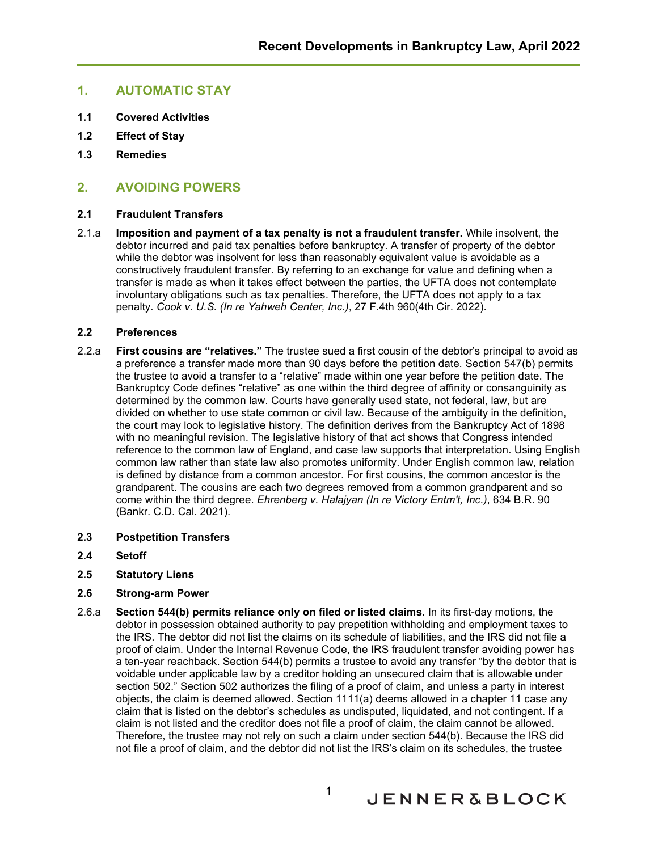# <span id="page-2-0"></span>**1. AUTOMATIC STAY**

- <span id="page-2-1"></span>**1.1 Covered Activities**
- <span id="page-2-2"></span>**1.2 Effect of Stay**
- <span id="page-2-3"></span>**1.3 Remedies**

# <span id="page-2-4"></span>**2. AVOIDING POWERS**

### <span id="page-2-5"></span>**2.1 Fraudulent Transfers**

2.1.a **Imposition and payment of a tax penalty is not a fraudulent transfer.** While insolvent, the debtor incurred and paid tax penalties before bankruptcy. A transfer of property of the debtor while the debtor was insolvent for less than reasonably equivalent value is avoidable as a constructively fraudulent transfer. By referring to an exchange for value and defining when a transfer is made as when it takes effect between the parties, the UFTA does not contemplate involuntary obligations such as tax penalties. Therefore, the UFTA does not apply to a tax penalty. *Cook v. U.S. (In re Yahweh Center, Inc.)*, 27 F.4th 960(4th Cir. 2022).

### <span id="page-2-6"></span>**2.2 Preferences**

- 2.2.a **First cousins are "relatives."** The trustee sued a first cousin of the debtor's principal to avoid as a preference a transfer made more than 90 days before the petition date. Section 547(b) permits the trustee to avoid a transfer to a "relative" made within one year before the petition date. The Bankruptcy Code defines "relative" as one within the third degree of affinity or consanguinity as determined by the common law. Courts have generally used state, not federal, law, but are divided on whether to use state common or civil law. Because of the ambiguity in the definition, the court may look to legislative history. The definition derives from the Bankruptcy Act of 1898 with no meaningful revision. The legislative history of that act shows that Congress intended reference to the common law of England, and case law supports that interpretation. Using English common law rather than state law also promotes uniformity. Under English common law, relation is defined by distance from a common ancestor. For first cousins, the common ancestor is the grandparent. The cousins are each two degrees removed from a common grandparent and so come within the third degree. *Ehrenberg v. Halajyan (In re Victory Entm't, Inc.)*, 634 B.R. 90 (Bankr. C.D. Cal. 2021).
- <span id="page-2-7"></span>**2.3 Postpetition Transfers**
- <span id="page-2-8"></span>**2.4 Setoff**
- <span id="page-2-9"></span>**2.5 Statutory Liens**

### <span id="page-2-10"></span>**2.6 Strong-arm Power**

2.6.a **Section 544(b) permits reliance only on filed or listed claims.** In its first-day motions, the debtor in possession obtained authority to pay prepetition withholding and employment taxes to the IRS. The debtor did not list the claims on its schedule of liabilities, and the IRS did not file a proof of claim. Under the Internal Revenue Code, the IRS fraudulent transfer avoiding power has a ten-year reachback. Section 544(b) permits a trustee to avoid any transfer "by the debtor that is voidable under applicable law by a creditor holding an unsecured claim that is allowable under section 502." Section 502 authorizes the filing of a proof of claim, and unless a party in interest objects, the claim is deemed allowed. Section 1111(a) deems allowed in a chapter 11 case any claim that is listed on the debtor's schedules as undisputed, liquidated, and not contingent. If a claim is not listed and the creditor does not file a proof of claim, the claim cannot be allowed. Therefore, the trustee may not rely on such a claim under section 544(b). Because the IRS did not file a proof of claim, and the debtor did not list the IRS's claim on its schedules, the trustee

**JENNER&BLOCK**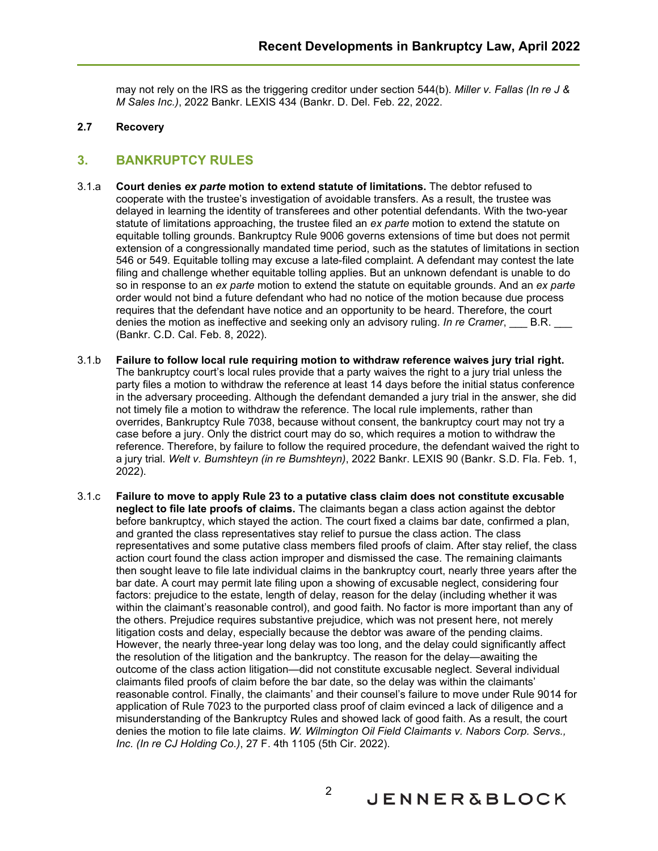may not rely on the IRS as the triggering creditor under section 544(b). *Miller v. Fallas (In re J & M Sales Inc.)*, 2022 Bankr. LEXIS 434 (Bankr. D. Del. Feb. 22, 2022.

#### <span id="page-3-0"></span>**2.7 Recovery**

# <span id="page-3-1"></span>**3. BANKRUPTCY RULES**

- 3.1.a **Court denies** *ex parte* **motion to extend statute of limitations.** The debtor refused to cooperate with the trustee's investigation of avoidable transfers. As a result, the trustee was delayed in learning the identity of transferees and other potential defendants. With the two-year statute of limitations approaching, the trustee filed an *ex parte* motion to extend the statute on equitable tolling grounds. Bankruptcy Rule 9006 governs extensions of time but does not permit extension of a congressionally mandated time period, such as the statutes of limitations in section 546 or 549. Equitable tolling may excuse a late-filed complaint. A defendant may contest the late filing and challenge whether equitable tolling applies. But an unknown defendant is unable to do so in response to an *ex parte* motion to extend the statute on equitable grounds. And an *ex parte* order would not bind a future defendant who had no notice of the motion because due process requires that the defendant have notice and an opportunity to be heard. Therefore, the court denies the motion as ineffective and seeking only an advisory ruling. *In re Cramer*, B.R. (Bankr. C.D. Cal. Feb. 8, 2022).
- 3.1.b **Failure to follow local rule requiring motion to withdraw reference waives jury trial right.** The bankruptcy court's local rules provide that a party waives the right to a jury trial unless the party files a motion to withdraw the reference at least 14 days before the initial status conference in the adversary proceeding. Although the defendant demanded a jury trial in the answer, she did not timely file a motion to withdraw the reference. The local rule implements, rather than overrides, Bankruptcy Rule 7038, because without consent, the bankruptcy court may not try a case before a jury. Only the district court may do so, which requires a motion to withdraw the reference. Therefore, by failure to follow the required procedure, the defendant waived the right to a jury trial. *Welt v. Bumshteyn (in re Bumshteyn)*, 2022 Bankr. LEXIS 90 (Bankr. S.D. Fla. Feb. 1, 2022).
- 3.1.c **Failure to move to apply Rule 23 to a putative class claim does not constitute excusable neglect to file late proofs of claims.** The claimants began a class action against the debtor before bankruptcy, which stayed the action. The court fixed a claims bar date, confirmed a plan, and granted the class representatives stay relief to pursue the class action. The class representatives and some putative class members filed proofs of claim. After stay relief, the class action court found the class action improper and dismissed the case. The remaining claimants then sought leave to file late individual claims in the bankruptcy court, nearly three years after the bar date. A court may permit late filing upon a showing of excusable neglect, considering four factors: prejudice to the estate, length of delay, reason for the delay (including whether it was within the claimant's reasonable control), and good faith. No factor is more important than any of the others. Prejudice requires substantive prejudice, which was not present here, not merely litigation costs and delay, especially because the debtor was aware of the pending claims. However, the nearly three-year long delay was too long, and the delay could significantly affect the resolution of the litigation and the bankruptcy. The reason for the delay—awaiting the outcome of the class action litigation—did not constitute excusable neglect. Several individual claimants filed proofs of claim before the bar date, so the delay was within the claimants' reasonable control. Finally, the claimants' and their counsel's failure to move under Rule 9014 for application of Rule 7023 to the purported class proof of claim evinced a lack of diligence and a misunderstanding of the Bankruptcy Rules and showed lack of good faith. As a result, the court denies the motion to file late claims. *W. Wilmington Oil Field Claimants v. Nabors Corp. Servs., Inc. (In re CJ Holding Co.)*, 27 F. 4th 1105 (5th Cir. 2022).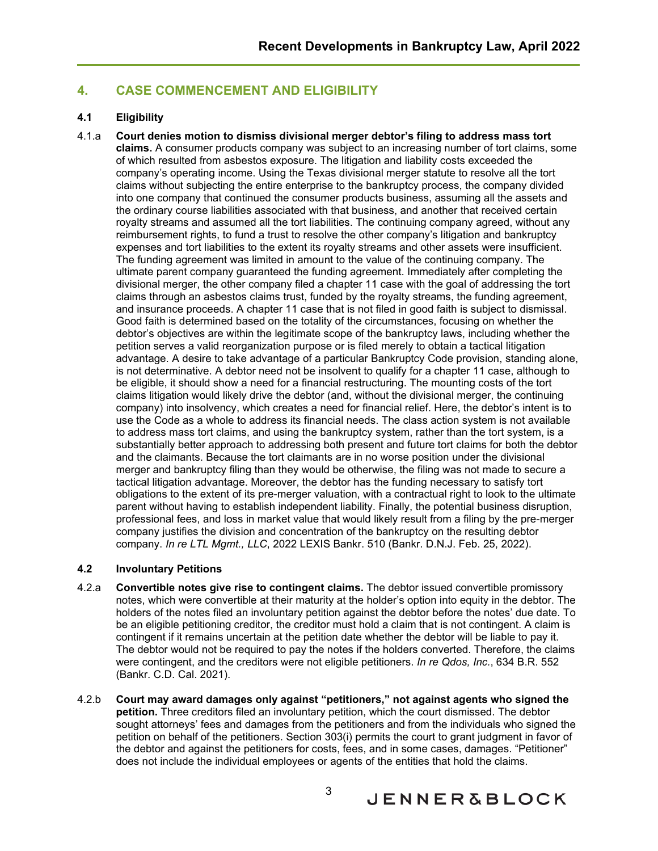# <span id="page-4-0"></span>**4. CASE COMMENCEMENT AND ELIGIBILITY**

## <span id="page-4-1"></span>**4.1 Eligibility**

4.1.a **Court denies motion to dismiss divisional merger debtor's filing to address mass tort claims.** A consumer products company was subject to an increasing number of tort claims, some of which resulted from asbestos exposure. The litigation and liability costs exceeded the company's operating income. Using the Texas divisional merger statute to resolve all the tort claims without subjecting the entire enterprise to the bankruptcy process, the company divided into one company that continued the consumer products business, assuming all the assets and the ordinary course liabilities associated with that business, and another that received certain royalty streams and assumed all the tort liabilities. The continuing company agreed, without any reimbursement rights, to fund a trust to resolve the other company's litigation and bankruptcy expenses and tort liabilities to the extent its royalty streams and other assets were insufficient. The funding agreement was limited in amount to the value of the continuing company. The ultimate parent company guaranteed the funding agreement. Immediately after completing the divisional merger, the other company filed a chapter 11 case with the goal of addressing the tort claims through an asbestos claims trust, funded by the royalty streams, the funding agreement, and insurance proceeds. A chapter 11 case that is not filed in good faith is subject to dismissal. Good faith is determined based on the totality of the circumstances, focusing on whether the debtor's objectives are within the legitimate scope of the bankruptcy laws, including whether the petition serves a valid reorganization purpose or is filed merely to obtain a tactical litigation advantage. A desire to take advantage of a particular Bankruptcy Code provision, standing alone, is not determinative. A debtor need not be insolvent to qualify for a chapter 11 case, although to be eligible, it should show a need for a financial restructuring. The mounting costs of the tort claims litigation would likely drive the debtor (and, without the divisional merger, the continuing company) into insolvency, which creates a need for financial relief. Here, the debtor's intent is to use the Code as a whole to address its financial needs. The class action system is not available to address mass tort claims, and using the bankruptcy system, rather than the tort system, is a substantially better approach to addressing both present and future tort claims for both the debtor and the claimants. Because the tort claimants are in no worse position under the divisional merger and bankruptcy filing than they would be otherwise, the filing was not made to secure a tactical litigation advantage. Moreover, the debtor has the funding necessary to satisfy tort obligations to the extent of its pre-merger valuation, with a contractual right to look to the ultimate parent without having to establish independent liability. Finally, the potential business disruption, professional fees, and loss in market value that would likely result from a filing by the pre-merger company justifies the division and concentration of the bankruptcy on the resulting debtor company. *In re LTL Mgmt., LLC*, 2022 LEXIS Bankr. 510 (Bankr. D.N.J. Feb. 25, 2022).

## <span id="page-4-2"></span>**4.2 Involuntary Petitions**

- 4.2.a **Convertible notes give rise to contingent claims.** The debtor issued convertible promissory notes, which were convertible at their maturity at the holder's option into equity in the debtor. The holders of the notes filed an involuntary petition against the debtor before the notes' due date. To be an eligible petitioning creditor, the creditor must hold a claim that is not contingent. A claim is contingent if it remains uncertain at the petition date whether the debtor will be liable to pay it. The debtor would not be required to pay the notes if the holders converted. Therefore, the claims were contingent, and the creditors were not eligible petitioners. *In re Qdos, Inc.*, 634 B.R. 552 (Bankr. C.D. Cal. 2021).
- 4.2.b **Court may award damages only against "petitioners," not against agents who signed the petition.** Three creditors filed an involuntary petition, which the court dismissed. The debtor sought attorneys' fees and damages from the petitioners and from the individuals who signed the petition on behalf of the petitioners. Section 303(i) permits the court to grant judgment in favor of the debtor and against the petitioners for costs, fees, and in some cases, damages. "Petitioner" does not include the individual employees or agents of the entities that hold the claims.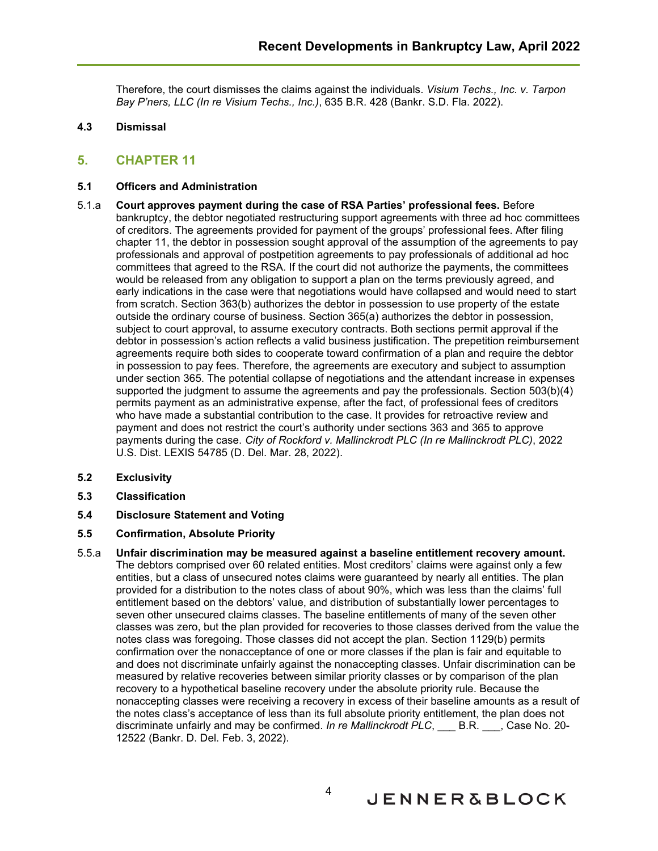Therefore, the court dismisses the claims against the individuals. *Visium Techs., Inc. v. Tarpon Bay P'ners, LLC (In re Visium Techs., Inc.)*, 635 B.R. 428 (Bankr. S.D. Fla. 2022).

## <span id="page-5-0"></span>**4.3 Dismissal**

# <span id="page-5-1"></span>**5. CHAPTER 11**

### <span id="page-5-2"></span>**5.1 Officers and Administration**

- 5.1.a **Court approves payment during the case of RSA Parties' professional fees.** Before bankruptcy, the debtor negotiated restructuring support agreements with three ad hoc committees of creditors. The agreements provided for payment of the groups' professional fees. After filing chapter 11, the debtor in possession sought approval of the assumption of the agreements to pay professionals and approval of postpetition agreements to pay professionals of additional ad hoc committees that agreed to the RSA. If the court did not authorize the payments, the committees would be released from any obligation to support a plan on the terms previously agreed, and early indications in the case were that negotiations would have collapsed and would need to start from scratch. Section 363(b) authorizes the debtor in possession to use property of the estate outside the ordinary course of business. Section 365(a) authorizes the debtor in possession, subject to court approval, to assume executory contracts. Both sections permit approval if the debtor in possession's action reflects a valid business justification. The prepetition reimbursement agreements require both sides to cooperate toward confirmation of a plan and require the debtor in possession to pay fees. Therefore, the agreements are executory and subject to assumption under section 365. The potential collapse of negotiations and the attendant increase in expenses supported the judgment to assume the agreements and pay the professionals. Section 503(b)(4) permits payment as an administrative expense, after the fact, of professional fees of creditors who have made a substantial contribution to the case. It provides for retroactive review and payment and does not restrict the court's authority under sections 363 and 365 to approve payments during the case. *City of Rockford v. Mallinckrodt PLC (In re Mallinckrodt PLC)*, 2022 U.S. Dist. LEXIS 54785 (D. Del. Mar. 28, 2022).
- <span id="page-5-3"></span>**5.2 Exclusivity**
- <span id="page-5-4"></span>**5.3 Classification**

# <span id="page-5-5"></span>**5.4 Disclosure Statement and Voting**

### <span id="page-5-6"></span>**5.5 Confirmation, Absolute Priority**

5.5.a **Unfair discrimination may be measured against a baseline entitlement recovery amount.** The debtors comprised over 60 related entities. Most creditors' claims were against only a few entities, but a class of unsecured notes claims were guaranteed by nearly all entities. The plan provided for a distribution to the notes class of about 90%, which was less than the claims' full entitlement based on the debtors' value, and distribution of substantially lower percentages to seven other unsecured claims classes. The baseline entitlements of many of the seven other classes was zero, but the plan provided for recoveries to those classes derived from the value the notes class was foregoing. Those classes did not accept the plan. Section 1129(b) permits confirmation over the nonacceptance of one or more classes if the plan is fair and equitable to and does not discriminate unfairly against the nonaccepting classes. Unfair discrimination can be measured by relative recoveries between similar priority classes or by comparison of the plan recovery to a hypothetical baseline recovery under the absolute priority rule. Because the nonaccepting classes were receiving a recovery in excess of their baseline amounts as a result of the notes class's acceptance of less than its full absolute priority entitlement, the plan does not discriminate unfairly and may be confirmed. *In re Mallinckrodt PLC*, B.R. , Case No. 20-12522 (Bankr. D. Del. Feb. 3, 2022).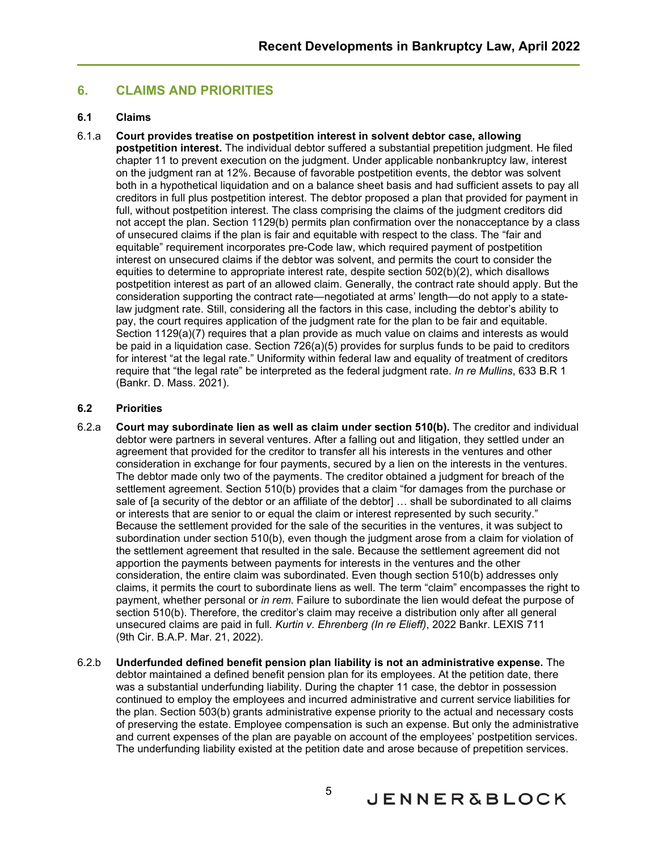# <span id="page-6-0"></span>**6. CLAIMS AND PRIORITIES**

### <span id="page-6-1"></span>**6.1 Claims**

#### 6.1.a **Court provides treatise on postpetition interest in solvent debtor case, allowing**

**postpetition interest.** The individual debtor suffered a substantial prepetition judgment. He filed chapter 11 to prevent execution on the judgment. Under applicable nonbankruptcy law, interest on the judgment ran at 12%. Because of favorable postpetition events, the debtor was solvent both in a hypothetical liquidation and on a balance sheet basis and had sufficient assets to pay all creditors in full plus postpetition interest. The debtor proposed a plan that provided for payment in full, without postpetition interest. The class comprising the claims of the judgment creditors did not accept the plan. Section 1129(b) permits plan confirmation over the nonacceptance by a class of unsecured claims if the plan is fair and equitable with respect to the class. The "fair and equitable" requirement incorporates pre-Code law, which required payment of postpetition interest on unsecured claims if the debtor was solvent, and permits the court to consider the equities to determine to appropriate interest rate, despite section 502(b)(2), which disallows postpetition interest as part of an allowed claim. Generally, the contract rate should apply. But the consideration supporting the contract rate—negotiated at arms' length—do not apply to a statelaw judgment rate. Still, considering all the factors in this case, including the debtor's ability to pay, the court requires application of the judgment rate for the plan to be fair and equitable. Section 1129(a)(7) requires that a plan provide as much value on claims and interests as would be paid in a liquidation case. Section 726(a)(5) provides for surplus funds to be paid to creditors for interest "at the legal rate." Uniformity within federal law and equality of treatment of creditors require that "the legal rate" be interpreted as the federal judgment rate. *In re Mullins*, 633 B.R 1 (Bankr. D. Mass. 2021).

#### <span id="page-6-2"></span>**6.2 Priorities**

- 6.2.a **Court may subordinate lien as well as claim under section 510(b).** The creditor and individual debtor were partners in several ventures. After a falling out and litigation, they settled under an agreement that provided for the creditor to transfer all his interests in the ventures and other consideration in exchange for four payments, secured by a lien on the interests in the ventures. The debtor made only two of the payments. The creditor obtained a judgment for breach of the settlement agreement. Section 510(b) provides that a claim "for damages from the purchase or sale of [a security of the debtor or an affiliate of the debtor] … shall be subordinated to all claims or interests that are senior to or equal the claim or interest represented by such security." Because the settlement provided for the sale of the securities in the ventures, it was subject to subordination under section 510(b), even though the judgment arose from a claim for violation of the settlement agreement that resulted in the sale. Because the settlement agreement did not apportion the payments between payments for interests in the ventures and the other consideration, the entire claim was subordinated. Even though section 510(b) addresses only claims, it permits the court to subordinate liens as well. The term "claim" encompasses the right to payment, whether personal or *in rem*. Failure to subordinate the lien would defeat the purpose of section 510(b). Therefore, the creditor's claim may receive a distribution only after all general unsecured claims are paid in full. *Kurtin v. Ehrenberg (In re Elieff)*, 2022 Bankr. LEXIS 711 (9th Cir. B.A.P. Mar. 21, 2022).
- 6.2.b **Underfunded defined benefit pension plan liability is not an administrative expense.** The debtor maintained a defined benefit pension plan for its employees. At the petition date, there was a substantial underfunding liability. During the chapter 11 case, the debtor in possession continued to employ the employees and incurred administrative and current service liabilities for the plan. Section 503(b) grants administrative expense priority to the actual and necessary costs of preserving the estate. Employee compensation is such an expense. But only the administrative and current expenses of the plan are payable on account of the employees' postpetition services. The underfunding liability existed at the petition date and arose because of prepetition services.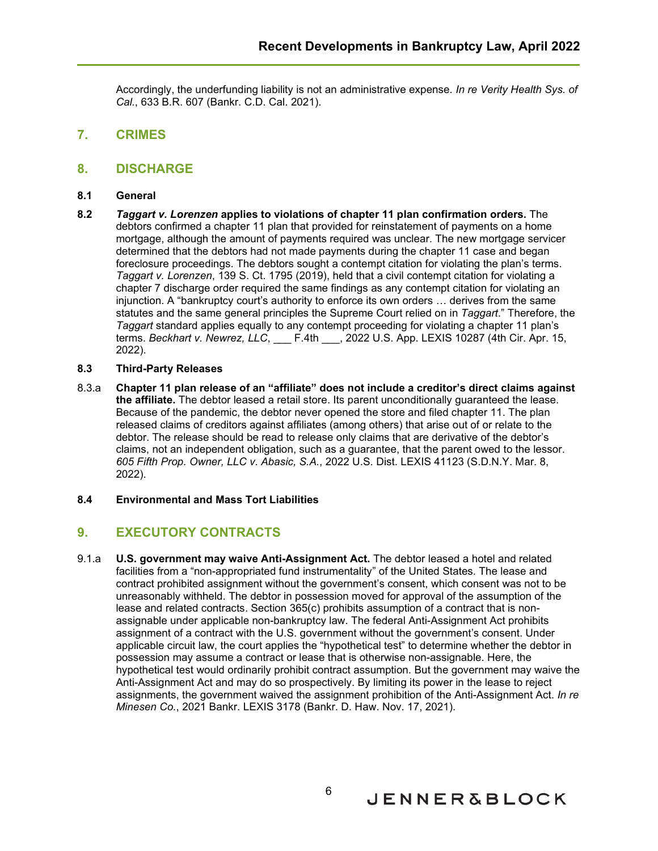Accordingly, the underfunding liability is not an administrative expense. *In re Verity Health Sys. of Cal.*, 633 B.R. 607 (Bankr. C.D. Cal. 2021).

- <span id="page-7-0"></span>**7. CRIMES**
- <span id="page-7-1"></span>**8. DISCHARGE**
- <span id="page-7-2"></span>**8.1 General**
- **8.2** *Taggart v. Lorenzen* **applies to violations of chapter 11 plan confirmation orders.** The debtors confirmed a chapter 11 plan that provided for reinstatement of payments on a home mortgage, although the amount of payments required was unclear. The new mortgage servicer determined that the debtors had not made payments during the chapter 11 case and began foreclosure proceedings. The debtors sought a contempt citation for violating the plan's terms. *Taggart v. Lorenzen*, 139 S. Ct. 1795 (2019), held that a civil contempt citation for violating a chapter 7 discharge order required the same findings as any contempt citation for violating an injunction. A "bankruptcy court's authority to enforce its own orders … derives from the same statutes and the same general principles the Supreme Court relied on in *Taggart*." Therefore, the *Taggart* standard applies equally to any contempt proceeding for violating a chapter 11 plan's terms. *Beckhart v. Newrez, LLC*, \_\_\_ F.4th \_\_\_, 2022 U.S. App. LEXIS 10287 (4th Cir. Apr. 15, 2022).
- <span id="page-7-3"></span>**8.3 Third-Party Releases**
- 8.3.a **Chapter 11 plan release of an "affiliate" does not include a creditor's direct claims against the affiliate.** The debtor leased a retail store. Its parent unconditionally guaranteed the lease. Because of the pandemic, the debtor never opened the store and filed chapter 11. The plan released claims of creditors against affiliates (among others) that arise out of or relate to the debtor. The release should be read to release only claims that are derivative of the debtor's claims, not an independent obligation, such as a guarantee, that the parent owed to the lessor. *605 Fifth Prop. Owner, LLC v. Abasic, S.A.*, 2022 U.S. Dist. LEXIS 41123 (S.D.N.Y. Mar. 8, 2022).

#### <span id="page-7-4"></span>**8.4 Environmental and Mass Tort Liabilities**

# <span id="page-7-5"></span>**9. EXECUTORY CONTRACTS**

9.1.a **U.S. government may waive Anti-Assignment Act.** The debtor leased a hotel and related facilities from a "non-appropriated fund instrumentality" of the United States. The lease and contract prohibited assignment without the government's consent, which consent was not to be unreasonably withheld. The debtor in possession moved for approval of the assumption of the lease and related contracts. Section 365(c) prohibits assumption of a contract that is nonassignable under applicable non-bankruptcy law. The federal Anti-Assignment Act prohibits assignment of a contract with the U.S. government without the government's consent. Under applicable circuit law, the court applies the "hypothetical test" to determine whether the debtor in possession may assume a contract or lease that is otherwise non-assignable. Here, the hypothetical test would ordinarily prohibit contract assumption. But the government may waive the Anti-Assignment Act and may do so prospectively. By limiting its power in the lease to reject assignments, the government waived the assignment prohibition of the Anti-Assignment Act. *In re Minesen Co.*, 2021 Bankr. LEXIS 3178 (Bankr. D. Haw. Nov. 17, 2021).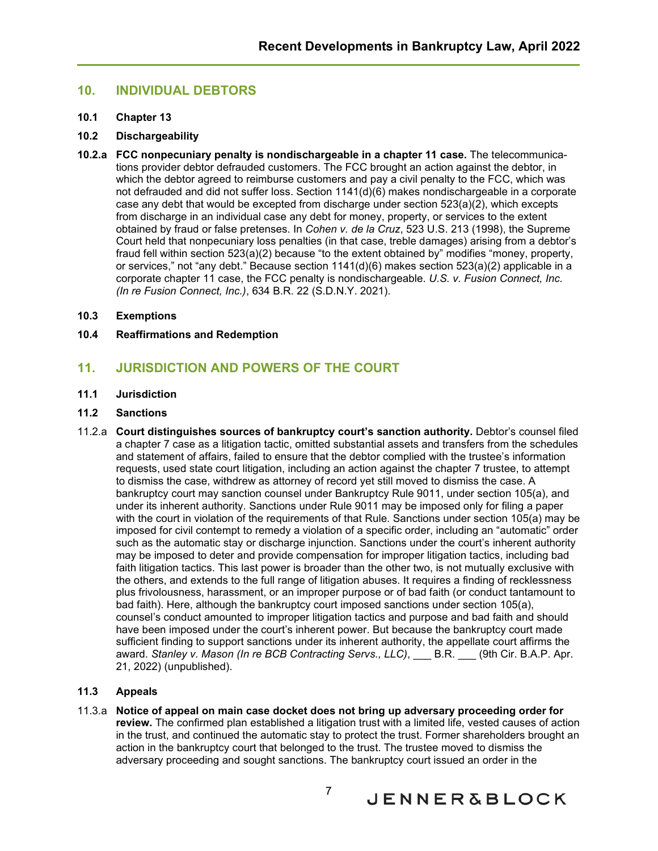# <span id="page-8-0"></span>**10. INDIVIDUAL DEBTORS**

#### <span id="page-8-1"></span>**10.1 Chapter 13**

#### <span id="page-8-2"></span>**10.2 Dischargeability**

**10.2.a FCC nonpecuniary penalty is nondischargeable in a chapter 11 case.** The telecommunications provider debtor defrauded customers. The FCC brought an action against the debtor, in which the debtor agreed to reimburse customers and pay a civil penalty to the FCC, which was not defrauded and did not suffer loss. Section 1141(d)(6) makes nondischargeable in a corporate case any debt that would be excepted from discharge under section 523(a)(2), which excepts from discharge in an individual case any debt for money, property, or services to the extent obtained by fraud or false pretenses. In *Cohen v. de la Cruz*, 523 U.S. 213 (1998), the Supreme Court held that nonpecuniary loss penalties (in that case, treble damages) arising from a debtor's fraud fell within section 523(a)(2) because "to the extent obtained by" modifies "money, property, or services," not "any debt." Because section 1141(d)(6) makes section 523(a)(2) applicable in a corporate chapter 11 case, the FCC penalty is nondischargeable. *U.S. v. Fusion Connect, Inc. (In re Fusion Connect, Inc.)*, 634 B.R. 22 (S.D.N.Y. 2021).

#### <span id="page-8-3"></span>**10.3 Exemptions**

### <span id="page-8-4"></span>**10.4 Reaffirmations and Redemption**

# <span id="page-8-5"></span>**11. JURISDICTION AND POWERS OF THE COURT**

#### <span id="page-8-6"></span>**11.1 Jurisdiction**

#### <span id="page-8-7"></span>**11.2 Sanctions**

11.2.a **Court distinguishes sources of bankruptcy court's sanction authority.** Debtor's counsel filed a chapter 7 case as a litigation tactic, omitted substantial assets and transfers from the schedules and statement of affairs, failed to ensure that the debtor complied with the trustee's information requests, used state court litigation, including an action against the chapter 7 trustee, to attempt to dismiss the case, withdrew as attorney of record yet still moved to dismiss the case. A bankruptcy court may sanction counsel under Bankruptcy Rule 9011, under section 105(a), and under its inherent authority. Sanctions under Rule 9011 may be imposed only for filing a paper with the court in violation of the requirements of that Rule. Sanctions under section 105(a) may be imposed for civil contempt to remedy a violation of a specific order, including an "automatic" order such as the automatic stay or discharge injunction. Sanctions under the court's inherent authority may be imposed to deter and provide compensation for improper litigation tactics, including bad faith litigation tactics. This last power is broader than the other two, is not mutually exclusive with the others, and extends to the full range of litigation abuses. It requires a finding of recklessness plus frivolousness, harassment, or an improper purpose or of bad faith (or conduct tantamount to bad faith). Here, although the bankruptcy court imposed sanctions under section 105(a), counsel's conduct amounted to improper litigation tactics and purpose and bad faith and should have been imposed under the court's inherent power. But because the bankruptcy court made sufficient finding to support sanctions under its inherent authority, the appellate court affirms the award. *Stanley v. Mason (In re BCB Contracting Servs., LLC)*, B.R. (9th Cir. B.A.P. Apr. 21, 2022) (unpublished).

## <span id="page-8-8"></span>**11.3 Appeals**

11.3.a **Notice of appeal on main case docket does not bring up adversary proceeding order for review.** The confirmed plan established a litigation trust with a limited life, vested causes of action in the trust, and continued the automatic stay to protect the trust. Former shareholders brought an action in the bankruptcy court that belonged to the trust. The trustee moved to dismiss the adversary proceeding and sought sanctions. The bankruptcy court issued an order in the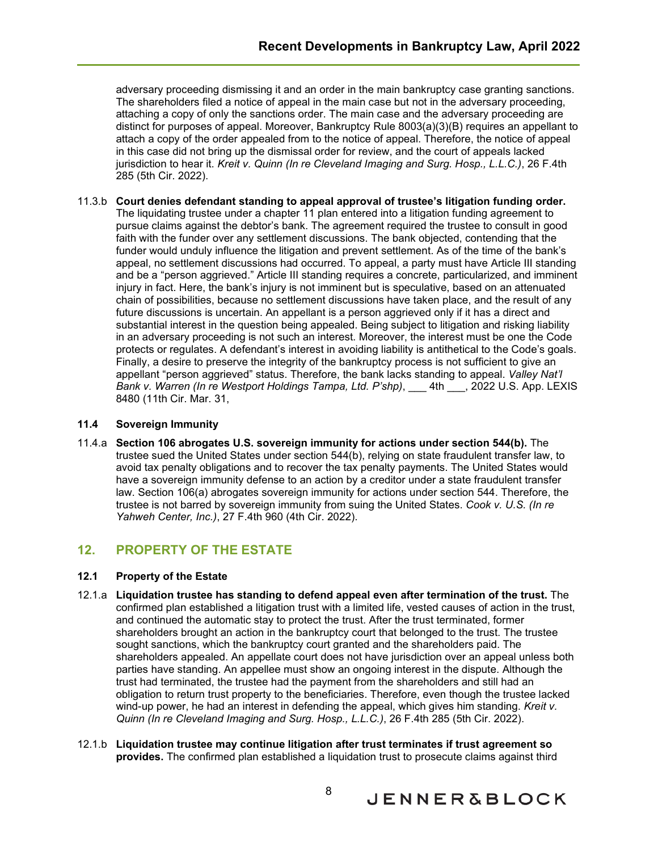adversary proceeding dismissing it and an order in the main bankruptcy case granting sanctions. The shareholders filed a notice of appeal in the main case but not in the adversary proceeding, attaching a copy of only the sanctions order. The main case and the adversary proceeding are distinct for purposes of appeal. Moreover, Bankruptcy Rule 8003(a)(3)(B) requires an appellant to attach a copy of the order appealed from to the notice of appeal. Therefore, the notice of appeal in this case did not bring up the dismissal order for review, and the court of appeals lacked jurisdiction to hear it. *Kreit v. Quinn (In re Cleveland Imaging and Surg. Hosp., L.L.C.)*, 26 F.4th 285 (5th Cir. 2022).

11.3.b **Court denies defendant standing to appeal approval of trustee's litigation funding order.** The liquidating trustee under a chapter 11 plan entered into a litigation funding agreement to pursue claims against the debtor's bank. The agreement required the trustee to consult in good faith with the funder over any settlement discussions. The bank objected, contending that the funder would unduly influence the litigation and prevent settlement. As of the time of the bank's appeal, no settlement discussions had occurred. To appeal, a party must have Article III standing and be a "person aggrieved." Article III standing requires a concrete, particularized, and imminent injury in fact. Here, the bank's injury is not imminent but is speculative, based on an attenuated chain of possibilities, because no settlement discussions have taken place, and the result of any future discussions is uncertain. An appellant is a person aggrieved only if it has a direct and substantial interest in the question being appealed. Being subject to litigation and risking liability in an adversary proceeding is not such an interest. Moreover, the interest must be one the Code protects or regulates. A defendant's interest in avoiding liability is antithetical to the Code's goals. Finally, a desire to preserve the integrity of the bankruptcy process is not sufficient to give an appellant "person aggrieved" status. Therefore, the bank lacks standing to appeal. *Valley Nat'l Bank v. Warren (In re Westport Holdings Tampa, Ltd. P'shp)*, 4th , 2022 U.S. App. LEXIS 8480 (11th Cir. Mar. 31,

## <span id="page-9-0"></span>**11.4 Sovereign Immunity**

11.4.a **Section 106 abrogates U.S. sovereign immunity for actions under section 544(b).** The trustee sued the United States under section 544(b), relying on state fraudulent transfer law, to avoid tax penalty obligations and to recover the tax penalty payments. The United States would have a sovereign immunity defense to an action by a creditor under a state fraudulent transfer law. Section 106(a) abrogates sovereign immunity for actions under section 544. Therefore, the trustee is not barred by sovereign immunity from suing the United States. *Cook v. U.S. (In re Yahweh Center, Inc.)*, 27 F.4th 960 (4th Cir. 2022).

# <span id="page-9-1"></span>**12. PROPERTY OF THE ESTATE**

# <span id="page-9-2"></span>**12.1 Property of the Estate**

- 12.1.a **Liquidation trustee has standing to defend appeal even after termination of the trust.** The confirmed plan established a litigation trust with a limited life, vested causes of action in the trust, and continued the automatic stay to protect the trust. After the trust terminated, former shareholders brought an action in the bankruptcy court that belonged to the trust. The trustee sought sanctions, which the bankruptcy court granted and the shareholders paid. The shareholders appealed. An appellate court does not have jurisdiction over an appeal unless both parties have standing. An appellee must show an ongoing interest in the dispute. Although the trust had terminated, the trustee had the payment from the shareholders and still had an obligation to return trust property to the beneficiaries. Therefore, even though the trustee lacked wind-up power, he had an interest in defending the appeal, which gives him standing. *Kreit v. Quinn (In re Cleveland Imaging and Surg. Hosp., L.L.C.)*, 26 F.4th 285 (5th Cir. 2022).
- 12.1.b **Liquidation trustee may continue litigation after trust terminates if trust agreement so provides.** The confirmed plan established a liquidation trust to prosecute claims against third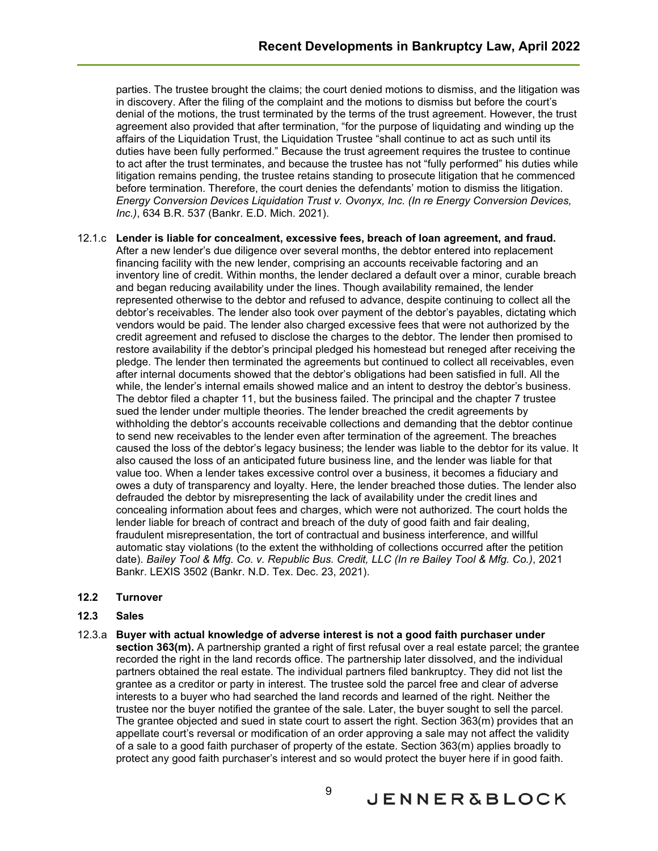parties. The trustee brought the claims; the court denied motions to dismiss, and the litigation was in discovery. After the filing of the complaint and the motions to dismiss but before the court's denial of the motions, the trust terminated by the terms of the trust agreement. However, the trust agreement also provided that after termination, "for the purpose of liquidating and winding up the affairs of the Liquidation Trust, the Liquidation Trustee "shall continue to act as such until its duties have been fully performed." Because the trust agreement requires the trustee to continue to act after the trust terminates, and because the trustee has not "fully performed" his duties while litigation remains pending, the trustee retains standing to prosecute litigation that he commenced before termination. Therefore, the court denies the defendants' motion to dismiss the litigation. *Energy Conversion Devices Liquidation Trust v. Ovonyx, Inc. (In re Energy Conversion Devices, Inc.)*, 634 B.R. 537 (Bankr. E.D. Mich. 2021).

- 12.1.c **Lender is liable for concealment, excessive fees, breach of loan agreement, and fraud.** After a new lender's due diligence over several months, the debtor entered into replacement financing facility with the new lender, comprising an accounts receivable factoring and an inventory line of credit. Within months, the lender declared a default over a minor, curable breach and began reducing availability under the lines. Though availability remained, the lender represented otherwise to the debtor and refused to advance, despite continuing to collect all the debtor's receivables. The lender also took over payment of the debtor's payables, dictating which vendors would be paid. The lender also charged excessive fees that were not authorized by the credit agreement and refused to disclose the charges to the debtor. The lender then promised to restore availability if the debtor's principal pledged his homestead but reneged after receiving the pledge. The lender then terminated the agreements but continued to collect all receivables, even after internal documents showed that the debtor's obligations had been satisfied in full. All the while, the lender's internal emails showed malice and an intent to destroy the debtor's business. The debtor filed a chapter 11, but the business failed. The principal and the chapter 7 trustee sued the lender under multiple theories. The lender breached the credit agreements by withholding the debtor's accounts receivable collections and demanding that the debtor continue to send new receivables to the lender even after termination of the agreement. The breaches caused the loss of the debtor's legacy business; the lender was liable to the debtor for its value. It also caused the loss of an anticipated future business line, and the lender was liable for that value too. When a lender takes excessive control over a business, it becomes a fiduciary and owes a duty of transparency and loyalty. Here, the lender breached those duties. The lender also defrauded the debtor by misrepresenting the lack of availability under the credit lines and concealing information about fees and charges, which were not authorized. The court holds the lender liable for breach of contract and breach of the duty of good faith and fair dealing, fraudulent misrepresentation, the tort of contractual and business interference, and willful automatic stay violations (to the extent the withholding of collections occurred after the petition date). *Bailey Tool & Mfg. Co. v. Republic Bus. Credit, LLC (In re Bailey Tool & Mfg. Co.)*, 2021 Bankr. LEXIS 3502 (Bankr. N.D. Tex. Dec. 23, 2021).
- <span id="page-10-0"></span>**12.2 Turnover**
- <span id="page-10-1"></span>**12.3 Sales**
- 12.3.a **Buyer with actual knowledge of adverse interest is not a good faith purchaser under section 363(m).** A partnership granted a right of first refusal over a real estate parcel; the grantee recorded the right in the land records office. The partnership later dissolved, and the individual partners obtained the real estate. The individual partners filed bankruptcy. They did not list the grantee as a creditor or party in interest. The trustee sold the parcel free and clear of adverse interests to a buyer who had searched the land records and learned of the right. Neither the trustee nor the buyer notified the grantee of the sale. Later, the buyer sought to sell the parcel. The grantee objected and sued in state court to assert the right. Section 363(m) provides that an appellate court's reversal or modification of an order approving a sale may not affect the validity of a sale to a good faith purchaser of property of the estate. Section 363(m) applies broadly to protect any good faith purchaser's interest and so would protect the buyer here if in good faith.

**JENNER&BLOCK**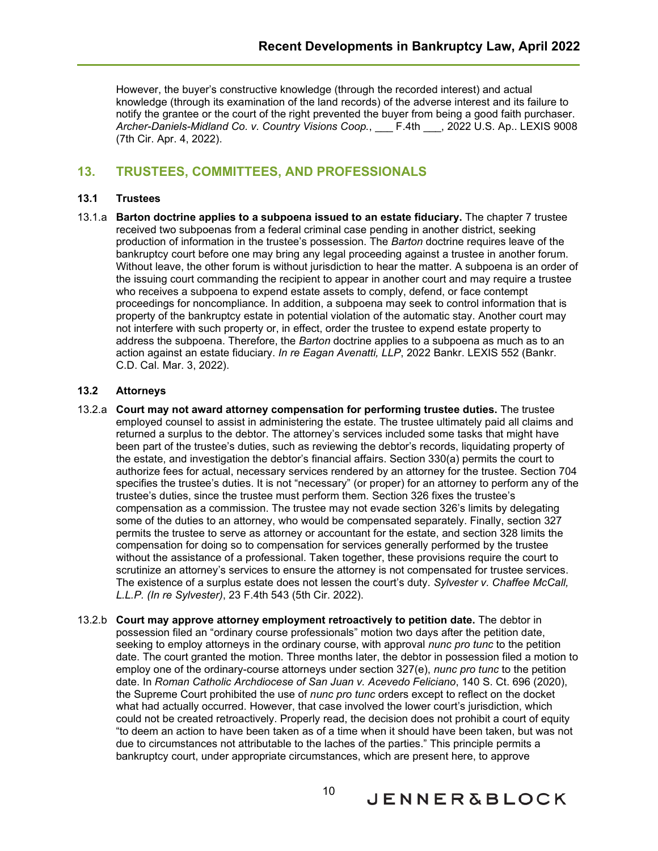However, the buyer's constructive knowledge (through the recorded interest) and actual knowledge (through its examination of the land records) of the adverse interest and its failure to notify the grantee or the court of the right prevented the buyer from being a good faith purchaser. *Archer-Daniels-Midland Co. v. Country Visions Coop.*, \_\_\_ F.4th \_\_\_, 2022 U.S. Ap.. LEXIS 9008 (7th Cir. Apr. 4, 2022).

# <span id="page-11-0"></span>**13. TRUSTEES, COMMITTEES, AND PROFESSIONALS**

#### <span id="page-11-1"></span>**13.1 Trustees**

13.1.a **Barton doctrine applies to a subpoena issued to an estate fiduciary.** The chapter 7 trustee received two subpoenas from a federal criminal case pending in another district, seeking production of information in the trustee's possession. The *Barton* doctrine requires leave of the bankruptcy court before one may bring any legal proceeding against a trustee in another forum. Without leave, the other forum is without jurisdiction to hear the matter. A subpoena is an order of the issuing court commanding the recipient to appear in another court and may require a trustee who receives a subpoena to expend estate assets to comply, defend, or face contempt proceedings for noncompliance. In addition, a subpoena may seek to control information that is property of the bankruptcy estate in potential violation of the automatic stay. Another court may not interfere with such property or, in effect, order the trustee to expend estate property to address the subpoena. Therefore, the *Barton* doctrine applies to a subpoena as much as to an action against an estate fiduciary. *In re Eagan Avenatti, LLP*, 2022 Bankr. LEXIS 552 (Bankr. C.D. Cal. Mar. 3, 2022).

### <span id="page-11-2"></span>**13.2 Attorneys**

- 13.2.a **Court may not award attorney compensation for performing trustee duties.** The trustee employed counsel to assist in administering the estate. The trustee ultimately paid all claims and returned a surplus to the debtor. The attorney's services included some tasks that might have been part of the trustee's duties, such as reviewing the debtor's records, liquidating property of the estate, and investigation the debtor's financial affairs. Section 330(a) permits the court to authorize fees for actual, necessary services rendered by an attorney for the trustee. Section 704 specifies the trustee's duties. It is not "necessary" (or proper) for an attorney to perform any of the trustee's duties, since the trustee must perform them. Section 326 fixes the trustee's compensation as a commission. The trustee may not evade section 326's limits by delegating some of the duties to an attorney, who would be compensated separately. Finally, section 327 permits the trustee to serve as attorney or accountant for the estate, and section 328 limits the compensation for doing so to compensation for services generally performed by the trustee without the assistance of a professional. Taken together, these provisions require the court to scrutinize an attorney's services to ensure the attorney is not compensated for trustee services. The existence of a surplus estate does not lessen the court's duty. *Sylvester v. Chaffee McCall, L.L.P. (In re Sylvester)*, 23 F.4th 543 (5th Cir. 2022).
- 13.2.b **Court may approve attorney employment retroactively to petition date.** The debtor in possession filed an "ordinary course professionals" motion two days after the petition date, seeking to employ attorneys in the ordinary course, with approval *nunc pro tunc* to the petition date. The court granted the motion. Three months later, the debtor in possession filed a motion to employ one of the ordinary-course attorneys under section 327(e), *nunc pro tunc* to the petition date. In *Roman Catholic Archdiocese of San Juan v. Acevedo Feliciano*, 140 S. Ct. 696 (2020), the Supreme Court prohibited the use of *nunc pro tunc* orders except to reflect on the docket what had actually occurred. However, that case involved the lower court's jurisdiction, which could not be created retroactively. Properly read, the decision does not prohibit a court of equity "to deem an action to have been taken as of a time when it should have been taken, but was not due to circumstances not attributable to the laches of the parties." This principle permits a bankruptcy court, under appropriate circumstances, which are present here, to approve